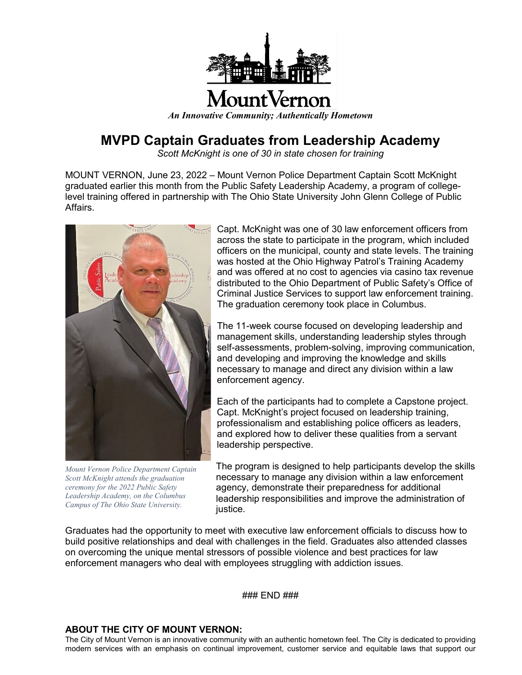

## **MVPD Captain Graduates from Leadership Academy**

*Scott McKnight is one of 30 in state chosen for training*

MOUNT VERNON, June 23, 2022 – Mount Vernon Police Department Captain Scott McKnight graduated earlier this month from the Public Safety Leadership Academy, a program of collegelevel training offered in partnership with The Ohio State University John Glenn College of Public Affairs.



*Mount Vernon Police Department Captain Scott McKnight attends the graduation ceremony for the 2022 Public Safety Leadership Academy, on the Columbus Campus of The Ohio State University.*

Capt. McKnight was one of 30 law enforcement officers from across the state to participate in the program, which included officers on the municipal, county and state levels. The training was hosted at the Ohio Highway Patrol's Training Academy and was offered at no cost to agencies via casino tax revenue distributed to the Ohio Department of Public Safety's Office of Criminal Justice Services to support law enforcement training. The graduation ceremony took place in Columbus.

The 11-week course focused on developing leadership and management skills, understanding leadership styles through self-assessments, problem-solving, improving communication, and developing and improving the knowledge and skills necessary to manage and direct any division within a law enforcement agency.

Each of the participants had to complete a Capstone project. Capt. McKnight's project focused on leadership training, professionalism and establishing police officers as leaders, and explored how to deliver these qualities from a servant leadership perspective.

The program is designed to help participants develop the skills necessary to manage any division within a law enforcement agency, demonstrate their preparedness for additional leadership responsibilities and improve the administration of justice.

Graduates had the opportunity to meet with executive law enforcement officials to discuss how to build positive relationships and deal with challenges in the field. Graduates also attended classes on overcoming the unique mental stressors of possible violence and best practices for law enforcement managers who deal with employees struggling with addiction issues.

### END ###

## **ABOUT THE CITY OF MOUNT VERNON:**

The City of Mount Vernon is an innovative community with an authentic hometown feel. The City is dedicated to providing modern services with an emphasis on continual improvement, customer service and equitable laws that support our